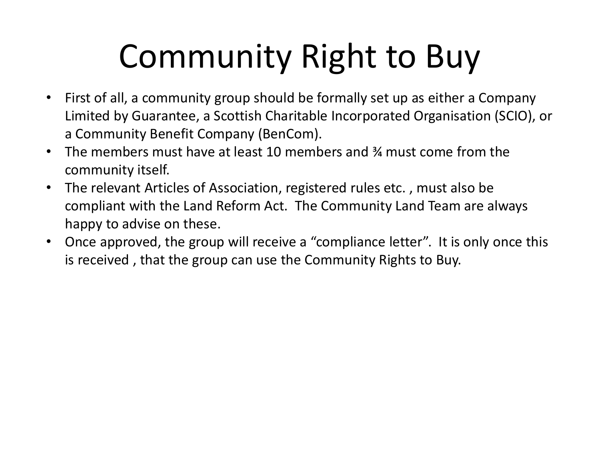- First of all, a community group should be formally set up as either a Company Limited by Guarantee, a Scottish Charitable Incorporated Organisation (SCIO), or a Community Benefit Company (BenCom).
- The members must have at least 10 members and ¾ must come from the community itself.
- The relevant Articles of Association, registered rules etc. , must also be compliant with the Land Reform Act. The Community Land Team are always happy to advise on these.
- Once approved, the group will receive a "compliance letter". It is only once this is received , that the group can use the Community Rights to Buy.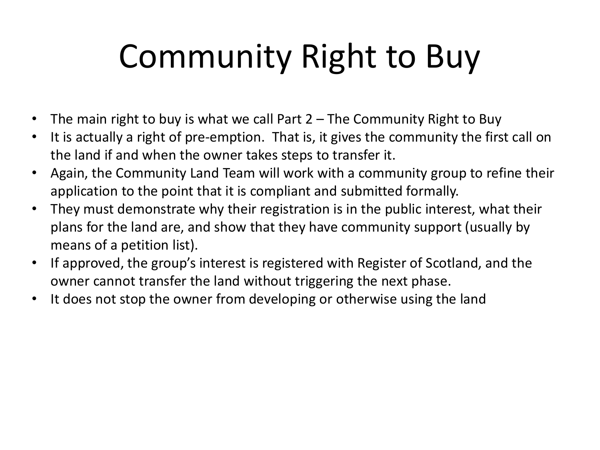- The main right to buy is what we call Part 2 The Community Right to Buy
- It is actually a right of pre-emption. That is, it gives the community the first call on the land if and when the owner takes steps to transfer it.
- Again, the Community Land Team will work with a community group to refine their application to the point that it is compliant and submitted formally.
- They must demonstrate why their registration is in the public interest, what their plans for the land are, and show that they have community support (usually by means of a petition list).
- If approved, the group's interest is registered with Register of Scotland, and the owner cannot transfer the land without triggering the next phase.
- It does not stop the owner from developing or otherwise using the land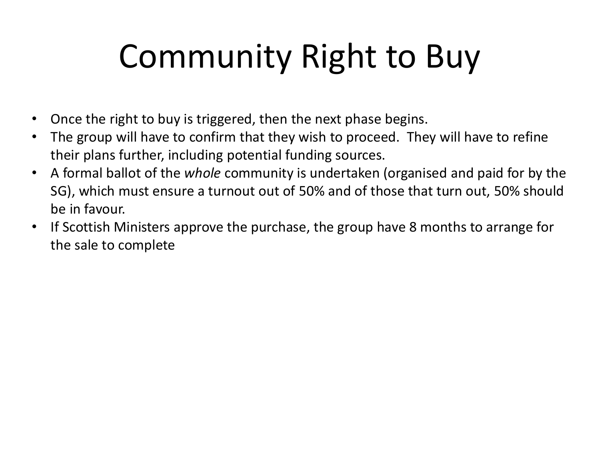- Once the right to buy is triggered, then the next phase begins.
- The group will have to confirm that they wish to proceed. They will have to refine their plans further, including potential funding sources.
- A formal ballot of the *whole* community is undertaken (organised and paid for by the SG), which must ensure a turnout out of 50% and of those that turn out, 50% should be in favour.
- If Scottish Ministers approve the purchase, the group have 8 months to arrange for the sale to complete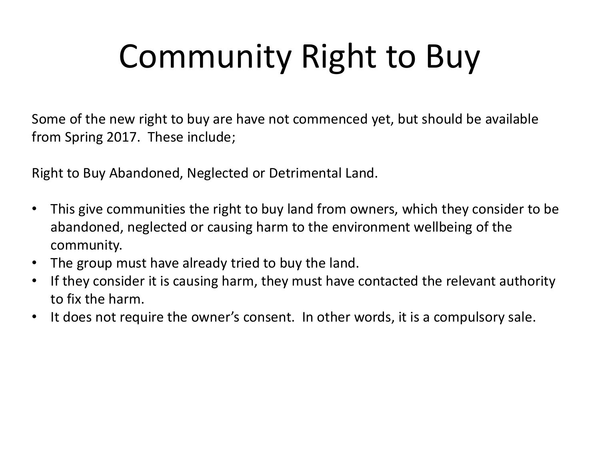Some of the new right to buy are have not commenced yet, but should be available from Spring 2017. These include;

Right to Buy Abandoned, Neglected or Detrimental Land.

- This give communities the right to buy land from owners, which they consider to be abandoned, neglected or causing harm to the environment wellbeing of the community.
- The group must have already tried to buy the land.
- If they consider it is causing harm, they must have contacted the relevant authority to fix the harm.
- It does not require the owner's consent. In other words, it is a compulsory sale.